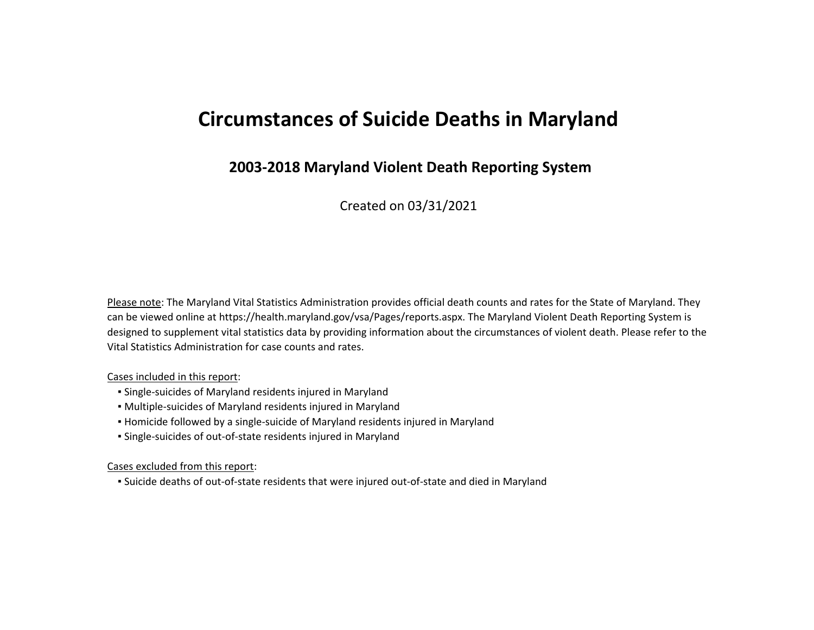# **Circumstances of Suicide Deaths in Maryland**

# **2003-2018 Maryland Violent Death Reporting System**

Created on 03/31/2021

Please note: The Maryland Vital Statistics Administration provides official death counts and rates for the State of Maryland. They can be viewed online at https://health.maryland.gov/vsa/Pages/reports.aspx. The Maryland Violent Death Reporting System is designed to supplement vital statistics data by providing information about the circumstances of violent death. Please refer to the Vital Statistics Administration for case counts and rates.

#### Cases included in this report:

- Single-suicides of Maryland residents injured in Maryland
- Multiple-suicides of Maryland residents injured in Maryland
- Homicide followed by a single-suicide of Maryland residents injured in Maryland
- Single-suicides of out-of-state residents injured in Maryland

Cases excluded from this report:

▪ Suicide deaths of out-of-state residents that were injured out-of-state and died in Maryland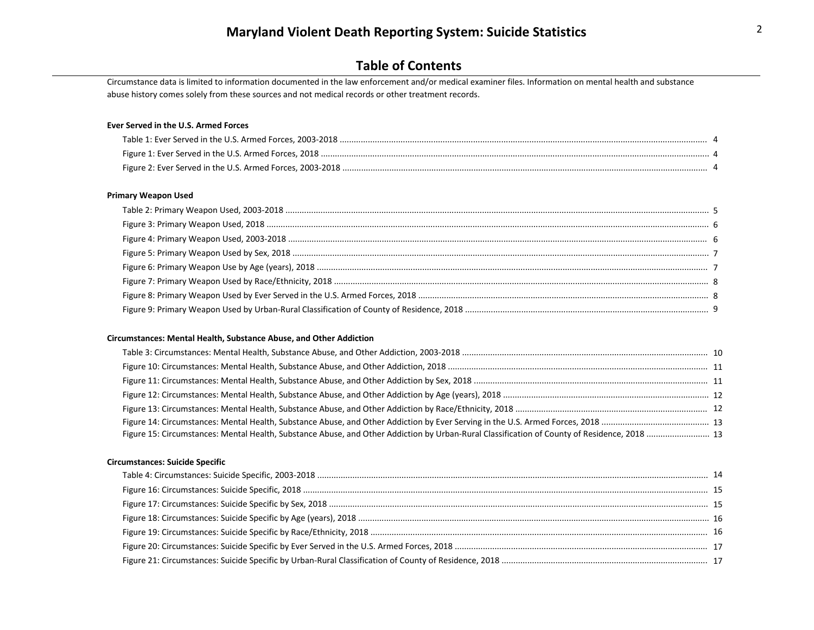Circumstance data is limited to information documented in the law enforcement and/or medical examiner files. Information on mental health and substance abuse history comes solely from these sources and not medical records or other treatment records.

#### **Ever Served in the U.S. Armed Forces**

#### **Primary Weapon Used**

#### **Circumstances: Mental Health, Substance Abuse, and Other Addiction**

| Figure 15: Circumstances: Mental Health, Substance Abuse, and Other Addiction by Urban-Rural Classification of County of Residence, 2018  13 |  |
|----------------------------------------------------------------------------------------------------------------------------------------------|--|

#### **Circumstances: Suicide Specific**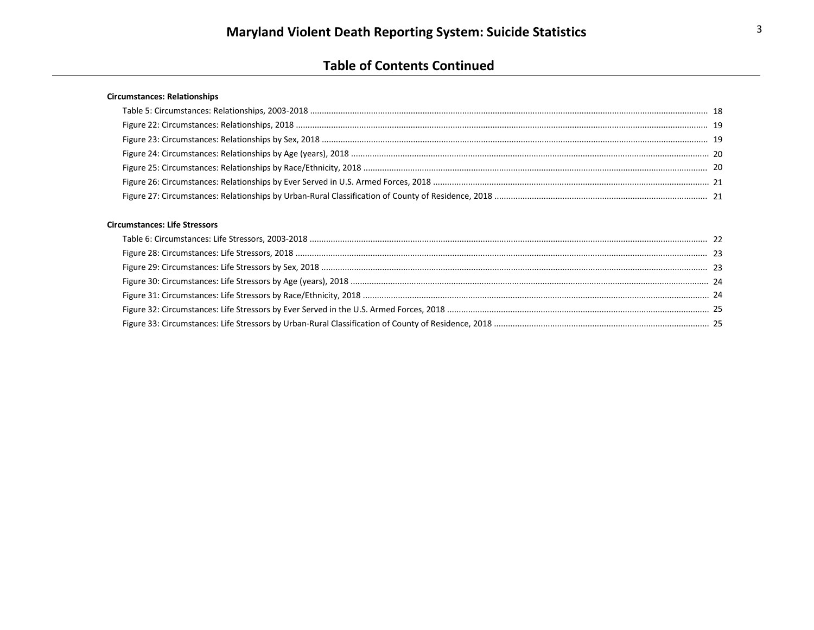# **Table of Contents Continued**

#### **Circumstances: Relationships**

#### **Circumstances: Life Stressors**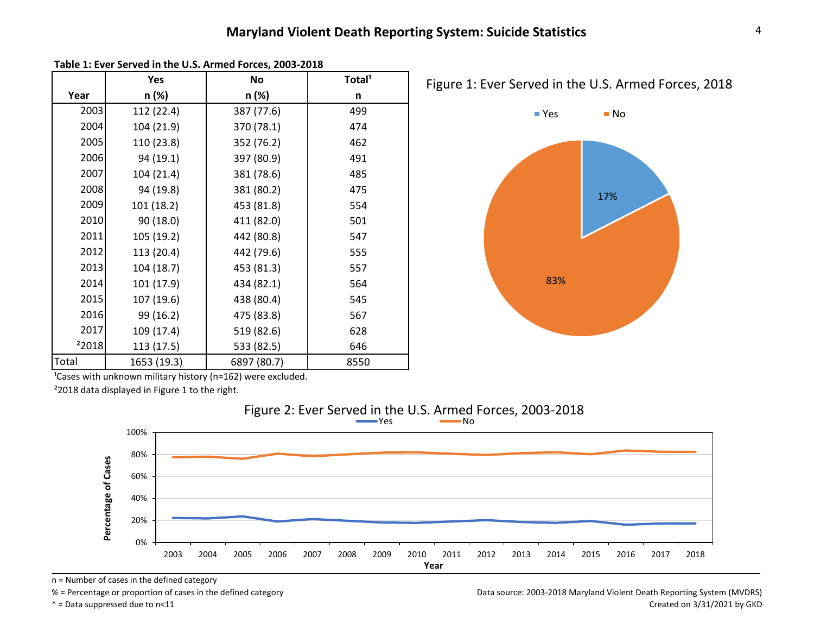|                   | Yes         | No          | Total <sup>1</sup> |
|-------------------|-------------|-------------|--------------------|
| Year              | n (%)       | n (%)       | n                  |
| 2003              | 112 (22.4)  | 387 (77.6)  | 499                |
| 2004              | 104 (21.9)  | 370 (78.1)  | 474                |
| 2005              | 110 (23.8)  | 352 (76.2)  | 462                |
| 2006              | 94 (19.1)   | 397 (80.9)  | 491                |
| 2007              | 104 (21.4)  | 381 (78.6)  | 485                |
| 2008              | 94 (19.8)   | 381 (80.2)  | 475                |
| 2009              | 101 (18.2)  | 453 (81.8)  | 554                |
| 2010              | 90 (18.0)   | 411 (82.0)  | 501                |
| 2011              | 105 (19.2)  | 442 (80.8)  | 547                |
| 2012              | 113 (20.4)  | 442 (79.6)  | 555                |
| 2013              | 104 (18.7)  | 453 (81.3)  | 557                |
| 2014              | 101 (17.9)  | 434 (82.1)  | 564                |
| 2015              | 107 (19.6)  | 438 (80.4)  | 545                |
| 2016              | 99 (16.2)   | 475 (83.8)  | 567                |
| 2017              | 109 (17.4)  | 519 (82.6)  | 628                |
| <sup>2</sup> 2018 | 113 (17.5)  | 533 (82.5)  | 646                |
| Total             | 1653 (19.3) | 6897 (80.7) | 8550               |



**Table 1: Ever Served in the U.S. Armed Forces, 2003-2018**

 $\frac{1}{2}$  Cases with unknown military history (n=162) were excluded.

²2018 data displayed in Figure 1 to the right.



Figure 2: Ever Served in the U.S. Armed Forces, 2003-2018

n = Number of cases in the defined category

% = Percentage or proportion of cases in the defined category

\* = Data suppressed due to n<11

Data source: 2003-2018 Maryland Violent Death Reporting System (MVDRS) Created on 3/31/2021 by GKD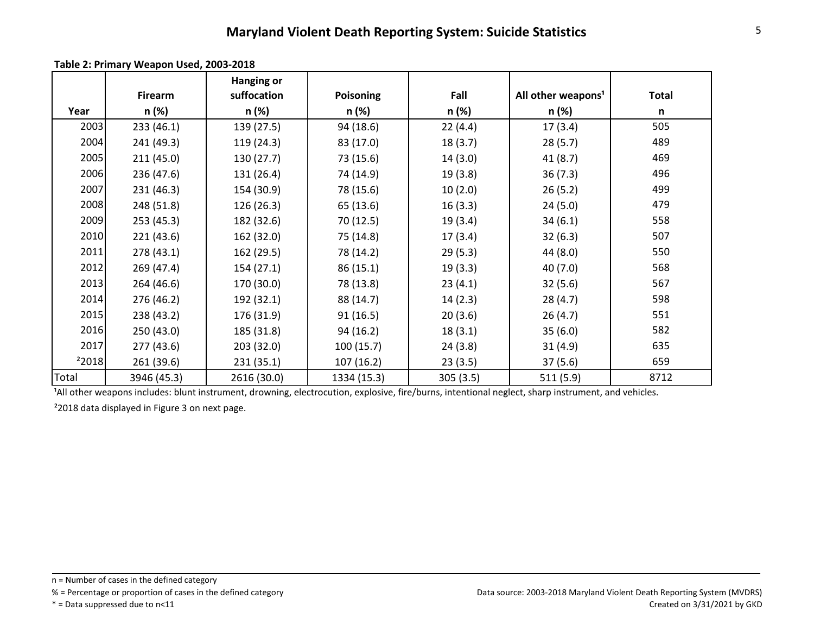|       |                | <b>Hanging or</b> |                  |          |                                |              |
|-------|----------------|-------------------|------------------|----------|--------------------------------|--------------|
|       | <b>Firearm</b> | suffocation       | <b>Poisoning</b> | Fall     | All other weapons <sup>1</sup> | <b>Total</b> |
| Year  | n (%)          | n (%)             | n (%)            | n (%)    | n (%)                          | n            |
| 2003  | 233 (46.1)     | 139 (27.5)        | 94 (18.6)        | 22(4.4)  | 17(3.4)                        | 505          |
| 2004  | 241 (49.3)     | 119 (24.3)        | 83 (17.0)        | 18(3.7)  | 28(5.7)                        | 489          |
| 2005  | 211(45.0)      | 130 (27.7)        | 73 (15.6)        | 14(3.0)  | 41(8.7)                        | 469          |
| 2006  | 236 (47.6)     | 131 (26.4)        | 74 (14.9)        | 19(3.8)  | 36(7.3)                        | 496          |
| 2007  | 231 (46.3)     | 154 (30.9)        | 78 (15.6)        | 10(2.0)  | 26(5.2)                        | 499          |
| 2008  | 248 (51.8)     | 126 (26.3)        | 65 (13.6)        | 16(3.3)  | 24(5.0)                        | 479          |
| 2009  | 253 (45.3)     | 182 (32.6)        | 70 (12.5)        | 19(3.4)  | 34(6.1)                        | 558          |
| 2010  | 221(43.6)      | 162 (32.0)        | 75 (14.8)        | 17(3.4)  | 32(6.3)                        | 507          |
| 2011  | 278 (43.1)     | 162 (29.5)        | 78 (14.2)        | 29(5.3)  | 44 (8.0)                       | 550          |
| 2012  | 269 (47.4)     | 154(27.1)         | 86(15.1)         | 19(3.3)  | 40(7.0)                        | 568          |
| 2013  | 264 (46.6)     | 170 (30.0)        | 78 (13.8)        | 23(4.1)  | 32(5.6)                        | 567          |
| 2014  | 276 (46.2)     | 192 (32.1)        | 88 (14.7)        | 14(2.3)  | 28(4.7)                        | 598          |
| 2015  | 238 (43.2)     | 176 (31.9)        | 91(16.5)         | 20(3.6)  | 26(4.7)                        | 551          |
| 2016  | 250 (43.0)     | 185 (31.8)        | 94(16.2)         | 18(3.1)  | 35(6.0)                        | 582          |
| 2017  | 277(43.6)      | 203 (32.0)        | 100(15.7)        | 24(3.8)  | 31(4.9)                        | 635          |
| 22018 | 261 (39.6)     | 231(35.1)         | 107 (16.2)       | 23(3.5)  | 37(5.6)                        | 659          |
| Total | 3946 (45.3)    | 2616 (30.0)       | 1334 (15.3)      | 305(3.5) | 511(5.9)                       | 8712         |

**Table 2: Primary Weapon Used, 2003-2018**

<sup>1</sup>All other weapons includes: blunt instrument, drowning, electrocution, explosive, fire/burns, intentional neglect, sharp instrument, and vehicles.

²2018 data displayed in Figure 3 on next page.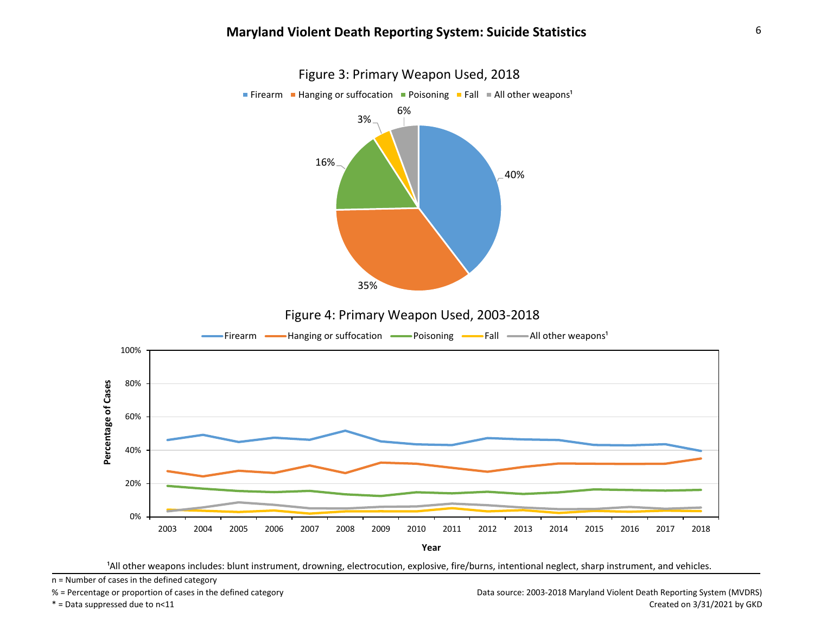

<sup>1</sup>All other weapons includes: blunt instrument, drowning, electrocution, explosive, fire/burns, intentional neglect, sharp instrument, and vehicles.

n = Number of cases in the defined category

% = Percentage or proportion of cases in the defined category

\* = Data suppressed due to n<11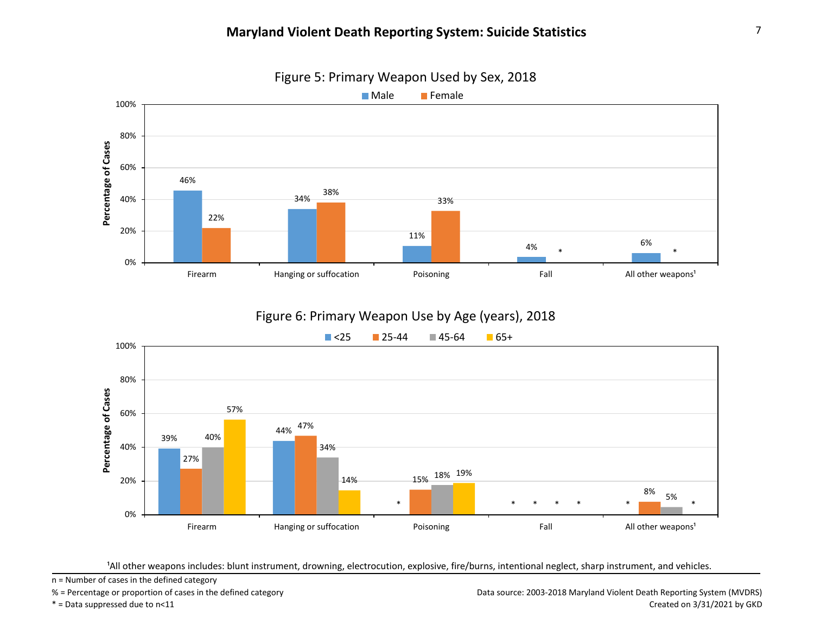

Figure 5: Primary Weapon Used by Sex, 2018

# Figure 6: Primary Weapon Use by Age (years), 2018



<sup>1</sup>All other weapons includes: blunt instrument, drowning, electrocution, explosive, fire/burns, intentional neglect, sharp instrument, and vehicles.

n = Number of cases in the defined category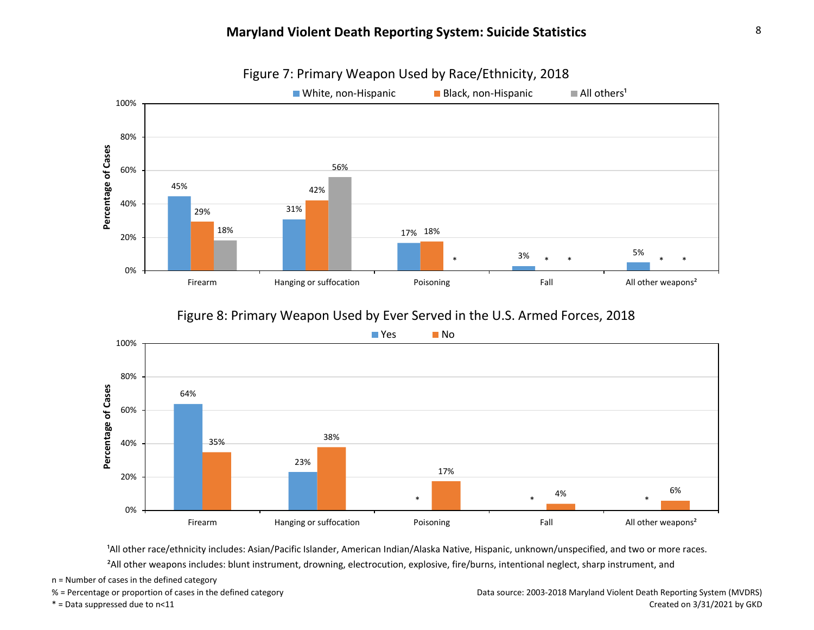

### Figure 7: Primary Weapon Used by Race/Ethnicity, 2018

### Figure 8: Primary Weapon Used by Ever Served in the U.S. Armed Forces, 2018



<sup>1</sup>All other race/ethnicity includes: Asian/Pacific Islander, American Indian/Alaska Native, Hispanic, unknown/unspecified, and two or more races. ²All other weapons includes: blunt instrument, drowning, electrocution, explosive, fire/burns, intentional neglect, sharp instrument, and

n = Number of cases in the defined category

\* = Data suppressed due to n<11

% = Percentage or proportion of cases in the defined category

Data source: 2003-2018 Maryland Violent Death Reporting System (MVDRS) Created on 3/31/2021 by GKD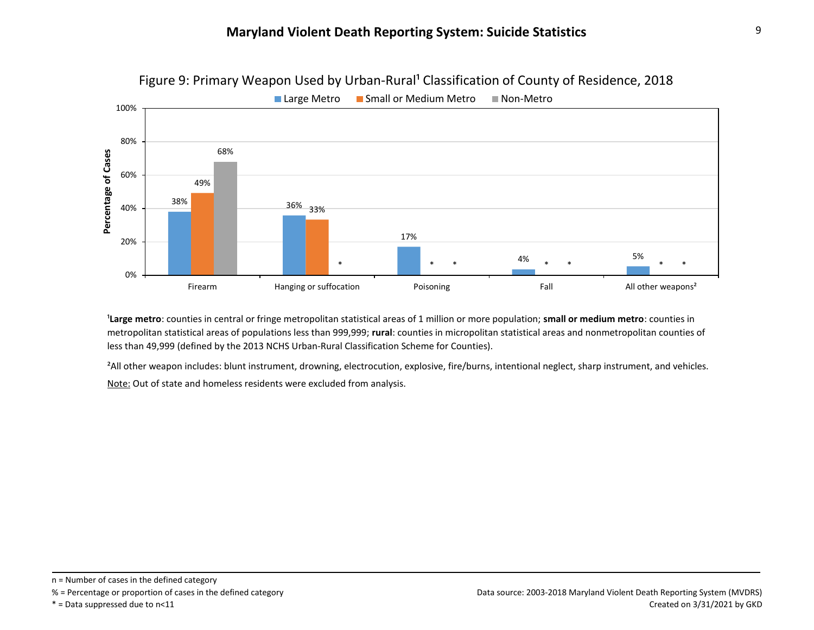

Figure 9: Primary Weapon Used by Urban-Rural<sup>1</sup> Classification of County of Residence, 2018

<sup>1</sup>Large metro: counties in central or fringe metropolitan statistical areas of 1 million or more population; small or medium metro: counties in metropolitan statistical areas of populations less than 999,999; **rural**: counties in micropolitan statistical areas and nonmetropolitan counties of less than 49,999 (defined by the 2013 NCHS Urban-Rural Classification Scheme for Counties).

Note: Out of state and homeless residents were excluded from analysis. <sup>2</sup>All other weapon includes: blunt instrument, drowning, electrocution, explosive, fire/burns, intentional neglect, sharp instrument, and vehicles.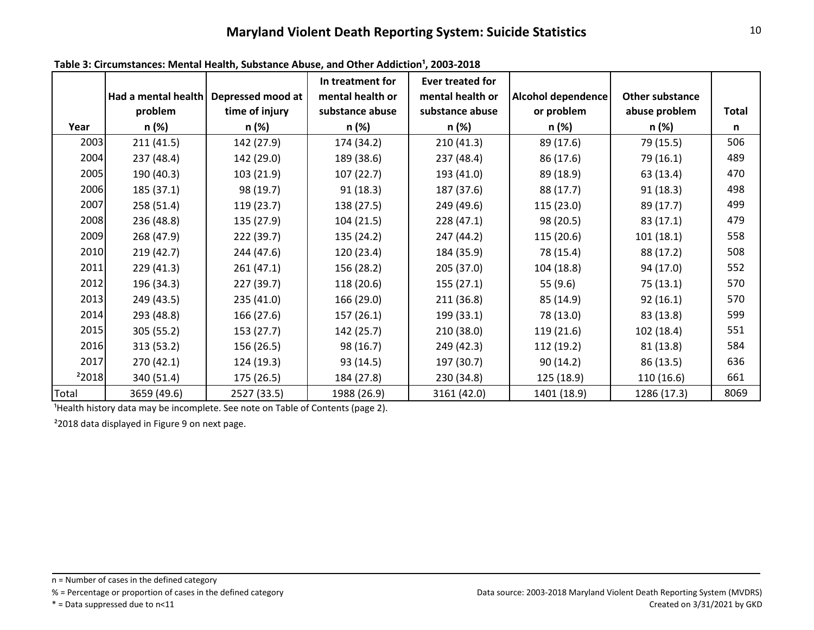|       | Had a mental health | Depressed mood at | In treatment for<br>mental health or | <b>Ever treated for</b><br>mental health or | Alcohol dependence | Other substance |              |
|-------|---------------------|-------------------|--------------------------------------|---------------------------------------------|--------------------|-----------------|--------------|
|       | problem             | time of injury    | substance abuse                      | substance abuse                             | or problem         | abuse problem   | <b>Total</b> |
| Year  | n (%)               | n (%)             | n (%)                                | n (%)                                       | n (%)              | n (%)           | n            |
| 2003  | 211(41.5)           | 142 (27.9)        | 174 (34.2)                           | 210(41.3)                                   | 89 (17.6)          | 79 (15.5)       | 506          |
| 2004  | 237 (48.4)          | 142 (29.0)        | 189 (38.6)                           | 237 (48.4)                                  | 86 (17.6)          | 79 (16.1)       | 489          |
| 2005  | 190 (40.3)          | 103 (21.9)        | 107(22.7)                            | 193 (41.0)                                  | 89 (18.9)          | 63 (13.4)       | 470          |
| 2006  | 185 (37.1)          | 98 (19.7)         | 91(18.3)                             | 187 (37.6)                                  | 88 (17.7)          | 91(18.3)        | 498          |
| 2007  | 258 (51.4)          | 119 (23.7)        | 138 (27.5)                           | 249 (49.6)                                  | 115 (23.0)         | 89 (17.7)       | 499          |
| 2008  | 236 (48.8)          | 135 (27.9)        | 104(21.5)                            | 228 (47.1)                                  | 98 (20.5)          | 83(17.1)        | 479          |
| 2009  | 268 (47.9)          | 222 (39.7)        | 135 (24.2)                           | 247 (44.2)                                  | 115 (20.6)         | 101(18.1)       | 558          |
| 2010  | 219(42.7)           | 244 (47.6)        | 120 (23.4)                           | 184 (35.9)                                  | 78 (15.4)          | 88 (17.2)       | 508          |
| 2011  | 229 (41.3)          | 261(47.1)         | 156 (28.2)                           | 205 (37.0)                                  | 104 (18.8)         | 94 (17.0)       | 552          |
| 2012  | 196 (34.3)          | 227 (39.7)        | 118 (20.6)                           | 155(27.1)                                   | 55 (9.6)           | 75(13.1)        | 570          |
| 2013  | 249 (43.5)          | 235 (41.0)        | 166 (29.0)                           | 211 (36.8)                                  | 85 (14.9)          | 92(16.1)        | 570          |
| 2014  | 293 (48.8)          | 166 (27.6)        | 157(26.1)                            | 199 (33.1)                                  | 78 (13.0)          | 83 (13.8)       | 599          |
| 2015  | 305 (55.2)          | 153 (27.7)        | 142(25.7)                            | 210 (38.0)                                  | 119(21.6)          | 102(18.4)       | 551          |
| 2016  | 313 (53.2)          | 156 (26.5)        | 98 (16.7)                            | 249 (42.3)                                  | 112 (19.2)         | 81 (13.8)       | 584          |
| 2017  | 270(42.1)           | 124 (19.3)        | 93 (14.5)                            | 197 (30.7)                                  | 90(14.2)           | 86 (13.5)       | 636          |
| 22018 | 340 (51.4)          | 175 (26.5)        | 184 (27.8)                           | 230 (34.8)                                  | 125 (18.9)         | 110 (16.6)      | 661          |
| Total | 3659 (49.6)         | 2527 (33.5)       | 1988 (26.9)                          | 3161 (42.0)                                 | 1401 (18.9)        | 1286 (17.3)     | 8069         |

Table 3: Circumstances: Mental Health, Substance Abuse, and Other Addiction<sup>1</sup>, 2003-2018

<sup>1</sup> Health history data may be incomplete. See note on Table of Contents (page 2).

²2018 data displayed in Figure 9 on next page.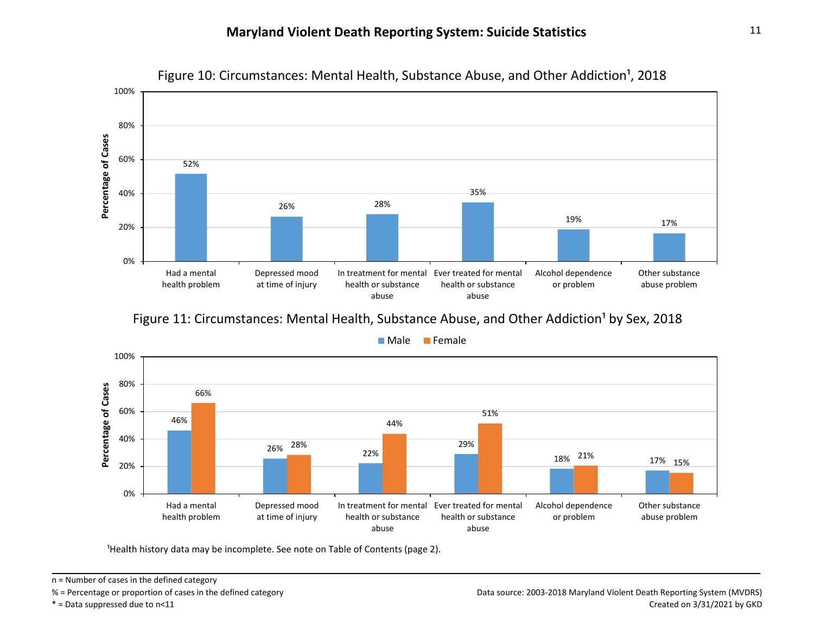

Figure 10: Circumstances: Mental Health, Substance Abuse, and Other Addiction<sup>1</sup>, 2018

Figure 11: Circumstances: Mental Health, Substance Abuse, and Other Addiction<sup>1</sup> by Sex, 2018



**Male** Female

<sup>1</sup>Health history data may be incomplete. See note on Table of Contents (page 2).

n = Number of cases in the defined category

<sup>% =</sup> Percentage or proportion of cases in the defined category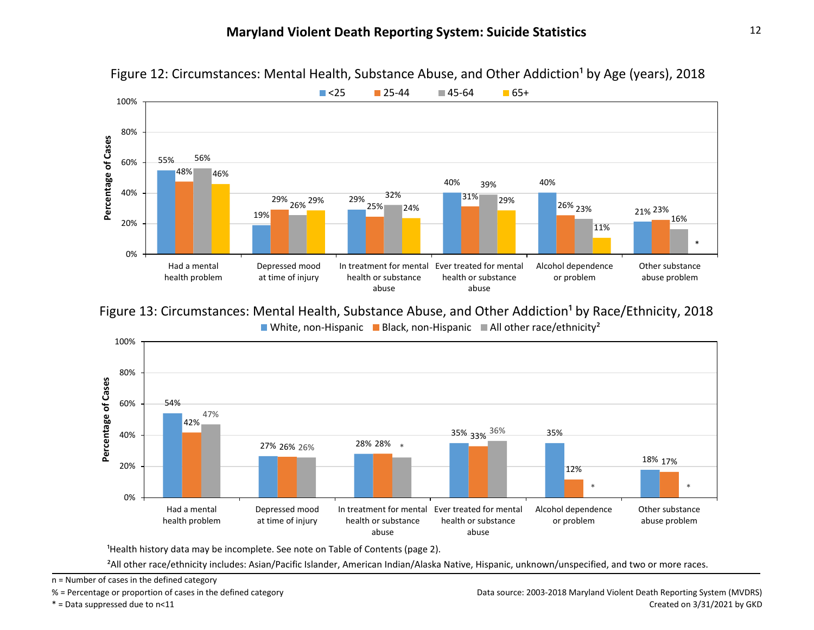

Figure 12: Circumstances: Mental Health, Substance Abuse, and Other Addiction<sup>1</sup> by Age (years), 2018

White, non-Hispanic Black, non-Hispanic All other race/ethnicity<sup>2</sup> Figure 13: Circumstances: Mental Health, Substance Abuse, and Other Addiction<sup>1</sup> by Race/Ethnicity, 2018



<sup>1</sup>Health history data may be incomplete. See note on Table of Contents (page 2).

²All other race/ethnicity includes: Asian/Pacific Islander, American Indian/Alaska Native, Hispanic, unknown/unspecified, and two or more races.

n = Number of cases in the defined category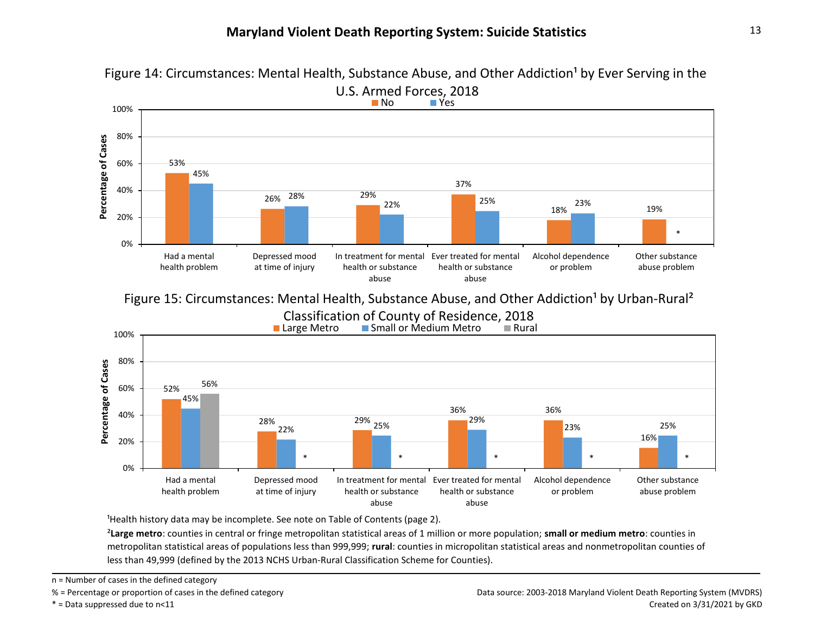

Figure 14: Circumstances: Mental Health, Substance Abuse, and Other Addiction<sup>1</sup> by Ever Serving in the

Figure 15: Circumstances: Mental Health, Substance Abuse, and Other Addiction<sup>1</sup> by Urban-Rural<sup>2</sup>



<sup>1</sup>Health history data may be incomplete. See note on Table of Contents (page 2).

²**Large metro**: counties in central or fringe metropolitan statistical areas of 1 million or more population; **small or medium metro**: counties in metropolitan statistical areas of populations less than 999,999; **rural**: counties in micropolitan statistical areas and nonmetropolitan counties of less than 49,999 (defined by the 2013 NCHS Urban-Rural Classification Scheme for Counties).

n = Number of cases in the defined category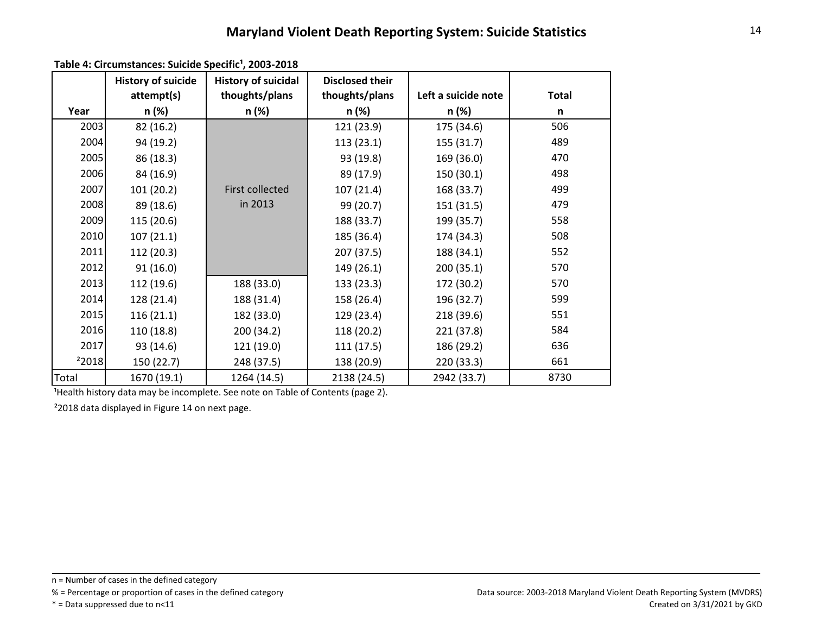Table 4: Circumstances: Suicide Specific<sup>1</sup>, 2003-2018

|                   | <b>History of suicide</b> | <b>History of suicidal</b> | <b>Disclosed their</b> |                     |              |
|-------------------|---------------------------|----------------------------|------------------------|---------------------|--------------|
|                   | attempt(s)                | thoughts/plans             | thoughts/plans         | Left a suicide note | <b>Total</b> |
| Year              | n (%)                     | n (%)                      | n (%)                  | n (%)               | n            |
| 2003              | 82 (16.2)                 |                            | 121 (23.9)             | 175 (34.6)          | 506          |
| 2004              | 94 (19.2)                 |                            | 113(23.1)              | 155 (31.7)          | 489          |
| 2005              | 86 (18.3)                 |                            | 93 (19.8)              | 169 (36.0)          | 470          |
| 2006              | 84 (16.9)                 |                            | 89 (17.9)              | 150(30.1)           | 498          |
| 2007              | 101 (20.2)                | <b>First collected</b>     | 107(21.4)              | 168 (33.7)          | 499          |
| 2008              | 89 (18.6)                 | in 2013                    | 99 (20.7)              | 151 (31.5)          | 479          |
| 2009              | 115 (20.6)                |                            | 188 (33.7)             | 199 (35.7)          | 558          |
| 2010              | 107(21.1)                 |                            | 185 (36.4)             | 174 (34.3)          | 508          |
| 2011              | 112 (20.3)                |                            | 207 (37.5)             | 188 (34.1)          | 552          |
| 2012              | 91(16.0)                  |                            | 149(26.1)              | 200(35.1)           | 570          |
| 2013              | 112 (19.6)                | 188 (33.0)                 | 133(23.3)              | 172 (30.2)          | 570          |
| 2014              | 128 (21.4)                | 188 (31.4)                 | 158 (26.4)             | 196 (32.7)          | 599          |
| 2015              | 116(21.1)                 | 182 (33.0)                 | 129 (23.4)             | 218 (39.6)          | 551          |
| 2016              | 110 (18.8)                | 200 (34.2)                 | 118(20.2)              | 221 (37.8)          | 584          |
| 2017              | 93 (14.6)                 | 121 (19.0)                 | 111(17.5)              | 186 (29.2)          | 636          |
| <sup>2</sup> 2018 | 150 (22.7)                | 248 (37.5)                 | 138 (20.9)             | 220 (33.3)          | 661          |
| Total             | 1670 (19.1)               | 1264 (14.5)                | 2138 (24.5)            | 2942 (33.7)         | 8730         |

<sup>1</sup>Health history data may be incomplete. See note on Table of Contents (page 2).

²2018 data displayed in Figure 14 on next page.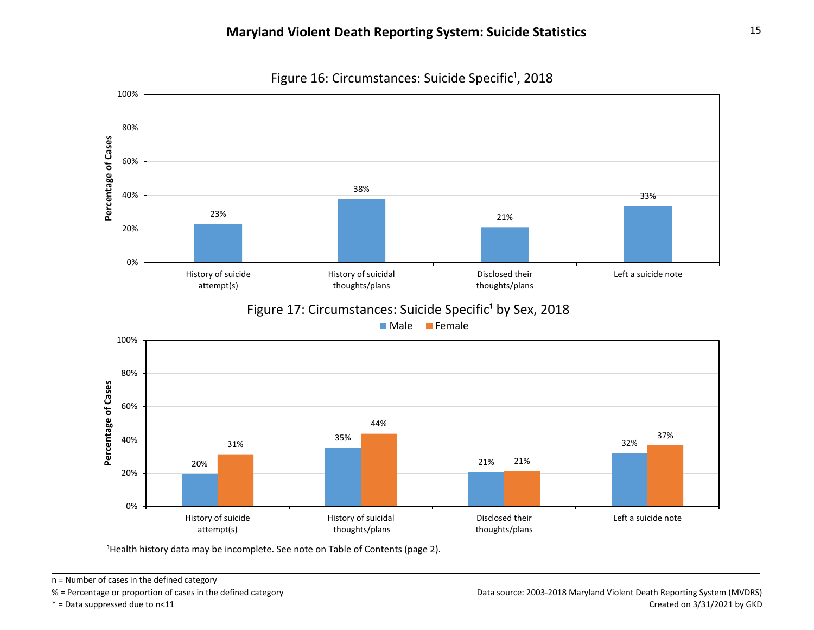100% 80% Percentage of Cases **Percentage of Cases** 60% 38% 40% 33% 23% 21% 20% 0% History of suicidal History of suicide Disclosed their Left a suicide note thoughts/plans attempt(s) thoughts/plans Figure 17: Circumstances: Suicide Specific<sup>1</sup> by Sex, 2018



<sup>1</sup>Health history data may be incomplete. See note on Table of Contents (page 2).



n = Number of cases in the defined category

<sup>% =</sup> Percentage or proportion of cases in the defined category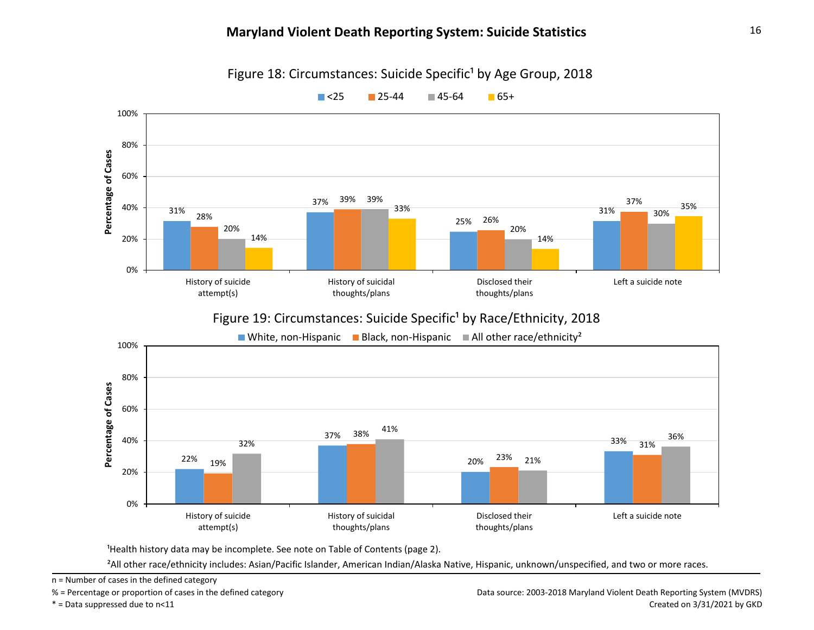

Figure 18: Circumstances: Suicide Specific<sup>1</sup> by Age Group, 2018

<sup>1</sup>Health history data may be incomplete. See note on Table of Contents (page 2).

²All other race/ethnicity includes: Asian/Pacific Islander, American Indian/Alaska Native, Hispanic, unknown/unspecified, and two or more races.

n = Number of cases in the defined category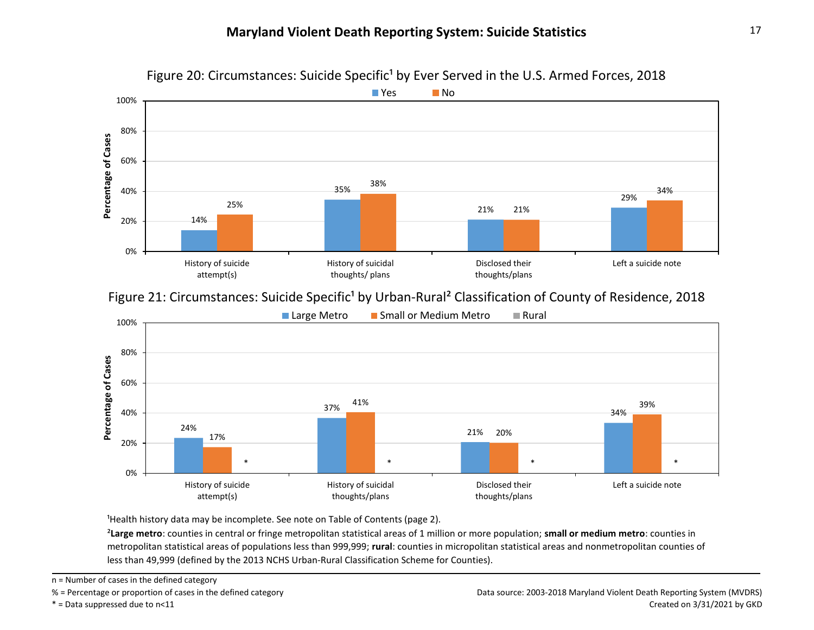

Figure 20: Circumstances: Suicide Specific<sup>1</sup> by Ever Served in the U.S. Armed Forces, 2018

Figure 21: Circumstances: Suicide Specific<sup>1</sup> by Urban-Rural<sup>2</sup> Classification of County of Residence, 2018



<sup>1</sup>Health history data may be incomplete. See note on Table of Contents (page 2).

²**Large metro**: counties in central or fringe metropolitan statistical areas of 1 million or more population; **small or medium metro**: counties in metropolitan statistical areas of populations less than 999,999; **rural**: counties in micropolitan statistical areas and nonmetropolitan counties of less than 49,999 (defined by the 2013 NCHS Urban-Rural Classification Scheme for Counties).

n = Number of cases in the defined category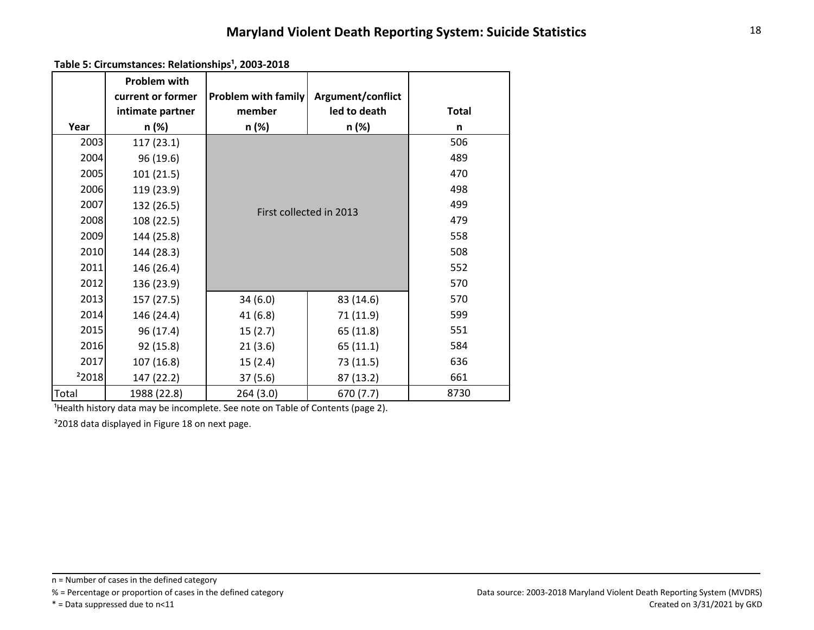Table 5: Circumstances: Relationships<sup>1</sup>, 2003-2018

| Year  | <b>Problem with</b><br>current or former<br>intimate partner<br>n (%) | <b>Problem with family</b><br>member<br>n (%) | Argument/conflict<br>led to death<br>n (%) | <b>Total</b><br>n |  |  |
|-------|-----------------------------------------------------------------------|-----------------------------------------------|--------------------------------------------|-------------------|--|--|
| 2003  | 117(23.1)                                                             |                                               |                                            | 506               |  |  |
| 2004  | 96 (19.6)                                                             |                                               |                                            | 489               |  |  |
| 2005  | 101(21.5)                                                             |                                               | 470                                        |                   |  |  |
| 2006  | 119 (23.9)                                                            |                                               | 498                                        |                   |  |  |
| 2007  | 132 (26.5)                                                            | First collected in 2013                       | 499                                        |                   |  |  |
| 2008  | 108 (22.5)                                                            |                                               | 479                                        |                   |  |  |
| 2009  | 144 (25.8)                                                            |                                               |                                            |                   |  |  |
| 2010  | 144 (28.3)                                                            |                                               | 508                                        |                   |  |  |
| 2011  | 146 (26.4)                                                            |                                               |                                            | 552               |  |  |
| 2012  | 136 (23.9)                                                            |                                               |                                            | 570               |  |  |
| 2013  | 157(27.5)                                                             | 34(6.0)                                       | 83 (14.6)                                  | 570               |  |  |
| 2014  | 146 (24.4)                                                            | 41(6.8)                                       | 71 (11.9)                                  | 599               |  |  |
| 2015  | 96 (17.4)                                                             | 15(2.7)                                       | 65 (11.8)                                  | 551               |  |  |
| 2016  | 92 (15.8)                                                             | 21(3.6)                                       | 65(11.1)                                   | 584               |  |  |
| 2017  | 107(16.8)                                                             | 15(2.4)                                       | 73 (11.5)                                  | 636               |  |  |
| 22018 | 147 (22.2)                                                            | 37(5.6)                                       | 87 (13.2)                                  | 661               |  |  |
| Total | 1988 (22.8)                                                           | 264 (3.0)                                     | 670 (7.7)                                  | 8730              |  |  |

Health history data may be incomplete. See note on Table of Contents (page 2).

²2018 data displayed in Figure 18 on next page.

n = Number of cases in the defined category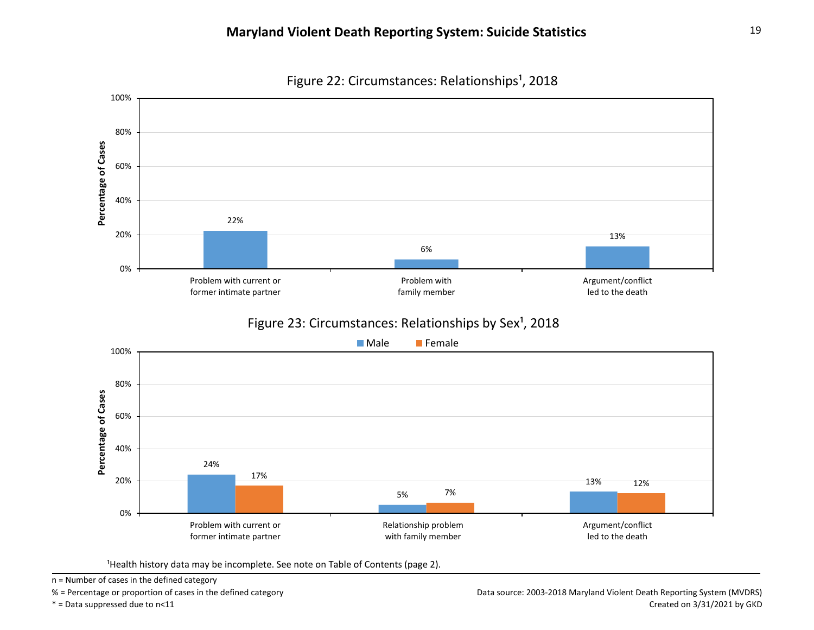

Figure 22: Circumstances: Relationships<sup>1</sup>, 2018

<sup>1</sup>Health history data may be incomplete. See note on Table of Contents (page 2).

n = Number of cases in the defined category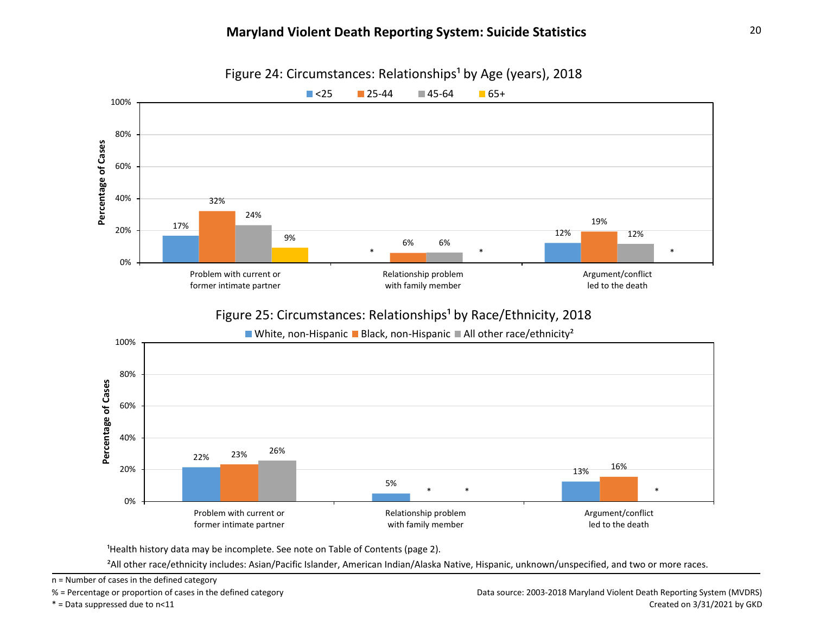

Figure 24: Circumstances: Relationships<sup>1</sup> by Age (years), 2018

### Figure 25: Circumstances: Relationships<sup>1</sup> by Race/Ethnicity, 2018



<sup>1</sup>Health history data may be incomplete. See note on Table of Contents (page 2).

²All other race/ethnicity includes: Asian/Pacific Islander, American Indian/Alaska Native, Hispanic, unknown/unspecified, and two or more races.

n = Number of cases in the defined category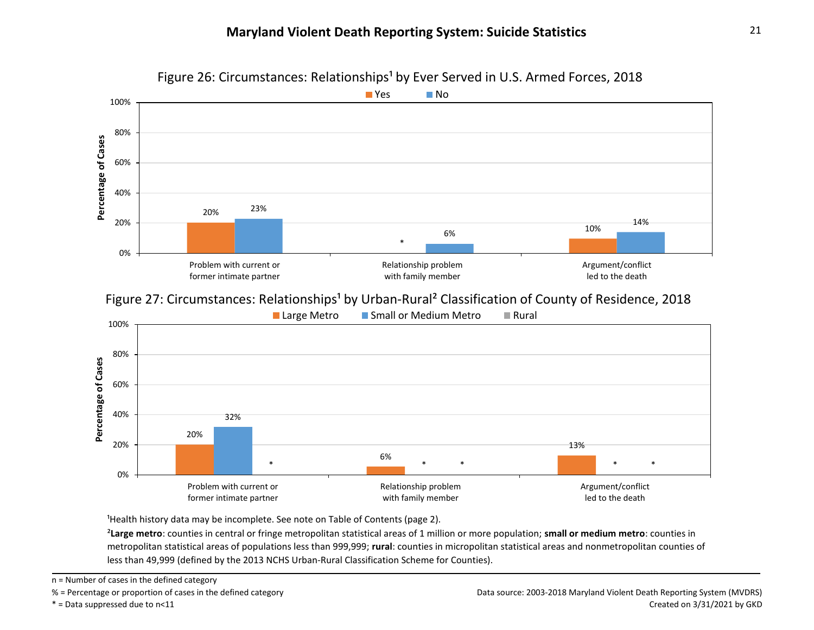

Figure 26: Circumstances: Relationships<sup>1</sup> by Ever Served in U.S. Armed Forces, 2018

Figure 27: Circumstances: Relationships<sup>1</sup> by Urban-Rural<sup>2</sup> Classification of County of Residence, 2018



<sup>1</sup>Health history data may be incomplete. See note on Table of Contents (page 2).

²**Large metro**: counties in central or fringe metropolitan statistical areas of 1 million or more population; **small or medium metro**: counties in metropolitan statistical areas of populations less than 999,999; **rural**: counties in micropolitan statistical areas and nonmetropolitan counties of less than 49,999 (defined by the 2013 NCHS Urban-Rural Classification Scheme for Counties).

n = Number of cases in the defined category

<sup>% =</sup> Percentage or proportion of cases in the defined category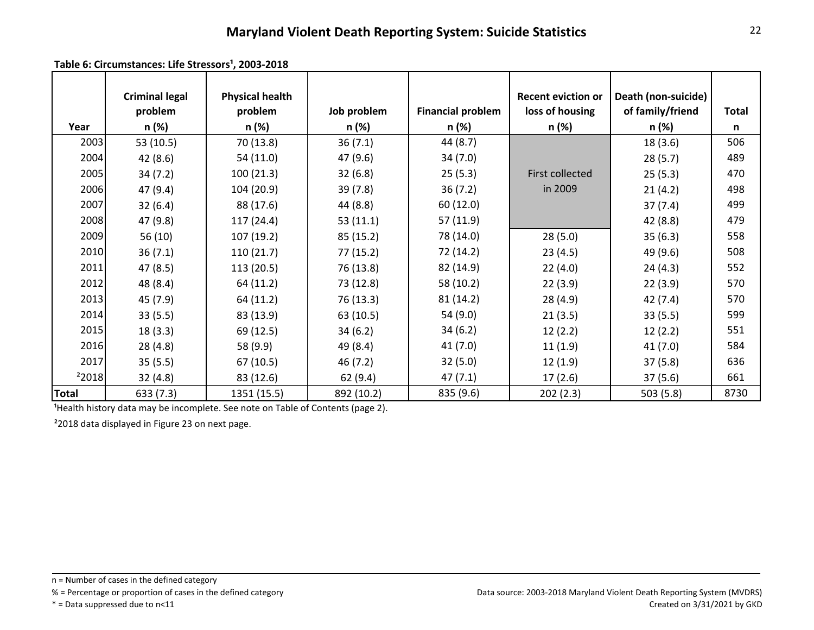Table 6: Circumstances: Life Stressors<sup>1</sup>, 2003-2018

|                   | <b>Criminal legal</b> | <b>Physical health</b> |             |                          | <b>Recent eviction or</b> | Death (non-suicide) |       |
|-------------------|-----------------------|------------------------|-------------|--------------------------|---------------------------|---------------------|-------|
|                   | problem               | problem                | Job problem | <b>Financial problem</b> | loss of housing           | of family/friend    | Total |
| Year              | n (%)                 | n (%)                  | n (%)       | n (%)                    | n (%)                     | n (%)               | n     |
| 2003              | 53 (10.5)             | 70 (13.8)              | 36(7.1)     | 44 (8.7)                 |                           | 18 (3.6)            | 506   |
| 2004              | 42 (8.6)              | 54(11.0)               | 47 (9.6)    | 34 (7.0)                 |                           | 28(5.7)             | 489   |
| 2005              | 34(7.2)               | 100(21.3)              | 32(6.8)     | 25(5.3)                  | First collected           | 25(5.3)             | 470   |
| 2006              | 47 (9.4)              | 104(20.9)              | 39 (7.8)    | 36(7.2)                  | in 2009                   | 21(4.2)             | 498   |
| 2007              | 32(6.4)               | 88 (17.6)              | 44 (8.8)    | 60 (12.0)                |                           | 37(7.4)             | 499   |
| 2008              | 47 (9.8)              | 117(24.4)              | 53(11.1)    | 57 (11.9)                |                           | 42 (8.8)            | 479   |
| 2009              | 56(10)                | 107(19.2)              | 85 (15.2)   | 78 (14.0)                | 28(5.0)                   | 35(6.3)             | 558   |
| 2010              | 36(7.1)               | 110(21.7)              | 77 (15.2)   | 72 (14.2)                | 23(4.5)                   | 49 (9.6)            | 508   |
| 2011              | 47 (8.5)              | 113(20.5)              | 76 (13.8)   | 82 (14.9)                | 22(4.0)                   | 24(4.3)             | 552   |
| 2012              | 48 (8.4)              | 64 (11.2)              | 73 (12.8)   | 58 (10.2)                | 22(3.9)                   | 22(3.9)             | 570   |
| 2013              | 45 (7.9)              | 64 (11.2)              | 76 (13.3)   | 81 (14.2)                | 28(4.9)                   | 42 (7.4)            | 570   |
| 2014              | 33(5.5)               | 83 (13.9)              | 63 (10.5)   | 54 (9.0)                 | 21(3.5)                   | 33(5.5)             | 599   |
| 2015              | 18(3.3)               | 69 (12.5)              | 34(6.2)     | 34(6.2)                  | 12(2.2)                   | 12(2.2)             | 551   |
| 2016              | 28(4.8)               | 58 (9.9)               | 49 (8.4)    | 41 (7.0)                 | 11(1.9)                   | 41(7.0)             | 584   |
| 2017              | 35(5.5)               | 67 (10.5)              | 46 (7.2)    | 32 (5.0)                 | 12(1.9)                   | 37(5.8)             | 636   |
| <sup>2</sup> 2018 | 32(4.8)               | 83 (12.6)              | 62 (9.4)    | 47(7.1)                  | 17(2.6)                   | 37(5.6)             | 661   |
| <b>Total</b>      | 633 (7.3)             | 1351 (15.5)            | 892 (10.2)  | 835 (9.6)                | 202(2.3)                  | 503(5.8)            | 8730  |

<sup>1</sup> Health history data may be incomplete. See note on Table of Contents (page 2).

²2018 data displayed in Figure 23 on next page.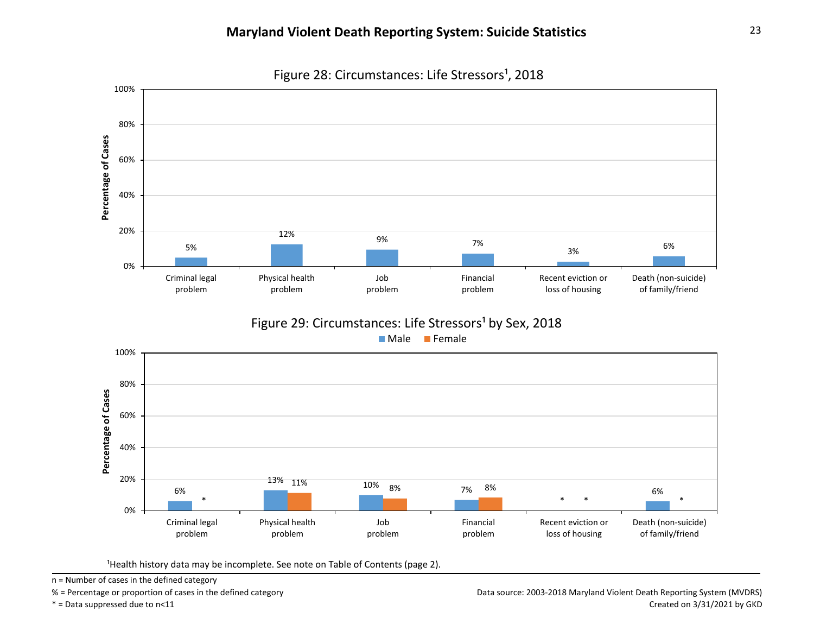



<sup>1</sup>Health history data may be incomplete. See note on Table of Contents (page 2).

n = Number of cases in the defined category

% = Percentage or proportion of cases in the defined category

\* = Data suppressed due to n<11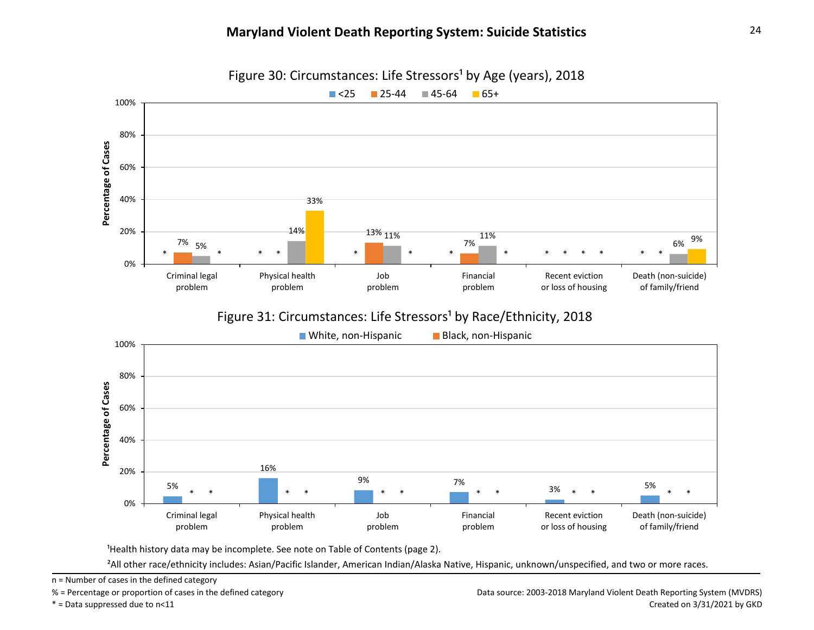

Figure 30: Circumstances: Life Stressors<sup>1</sup> by Age (years), 2018

<sup>1</sup>Health history data may be incomplete. See note on Table of Contents (page 2).

²All other race/ethnicity includes: Asian/Pacific Islander, American Indian/Alaska Native, Hispanic, unknown/unspecified, and two or more races.

n = Number of cases in the defined category

% = Percentage or proportion of cases in the defined category

\* = Data suppressed due to n<11